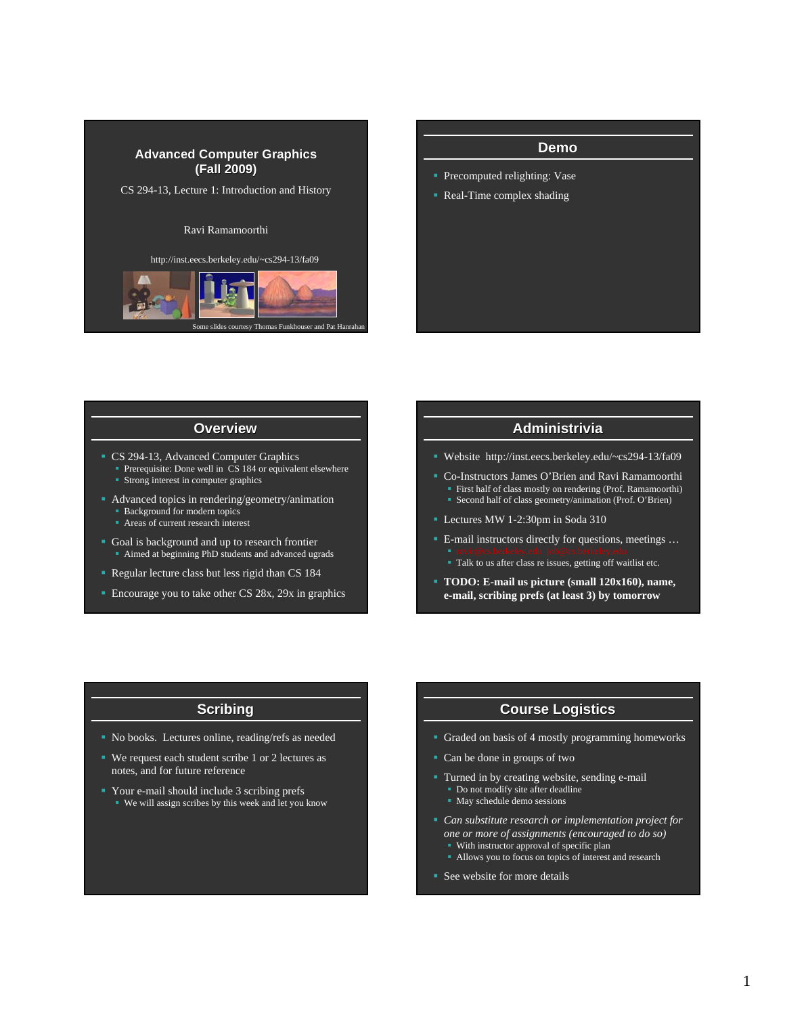



## **Overview**

- CS 294-13, Advanced Computer Graphics
	- Prerequisite: Done well in CS 184 or equivalent elsewhere
	- **Strong interest in computer graphics**
- Advanced topics in rendering/geometry/animation
	- **Background for modern topics**
	- **Areas of current research interest**
- Goal is background and up to research frontier Aimed at beginning PhD students and advanced ugrads
- Regular lecture class but less rigid than CS 184
- **Encourage you to take other CS 28x, 29x in graphics**

#### **Administrivia**

- Website http://inst.eecs.berkeley.edu/~cs294-13/fa09
- Co-Instructors James O'Brien and Ravi Ramamoorthi First half of class mostly on rendering (Prof. Ramamoorthi) Second half of class geometry/animation (Prof. O'Brien)
- Lectures MW 1-2:30pm in Soda 310
- E-mail instructors directly for questions, meetings ...
	- Talk to us after class re issues, getting off waitlist etc.
- **TODO: E-mail us picture (small 120x160), name, e-mail, scribing prefs (at least 3) by tomorrow**

#### **Scribing**

- No books. Lectures online, reading/refs as needed
- We request each student scribe 1 or 2 lectures as notes, and for future reference
- Your e-mail should include 3 scribing prefs We will assign scribes by this week and let you know

### **Course Logistics**

- Graded on basis of 4 mostly programming homeworks
- Can be done in groups of two
- Turned in by creating website, sending e-mail Do not modify site after deadline
	- May schedule demo sessions
- *Can substitute research or implementation project for one or more of assignments (encouraged to do so)* **With instructor approval of specific plan** Allows you to focus on topics of interest and research
	-
- See website for more details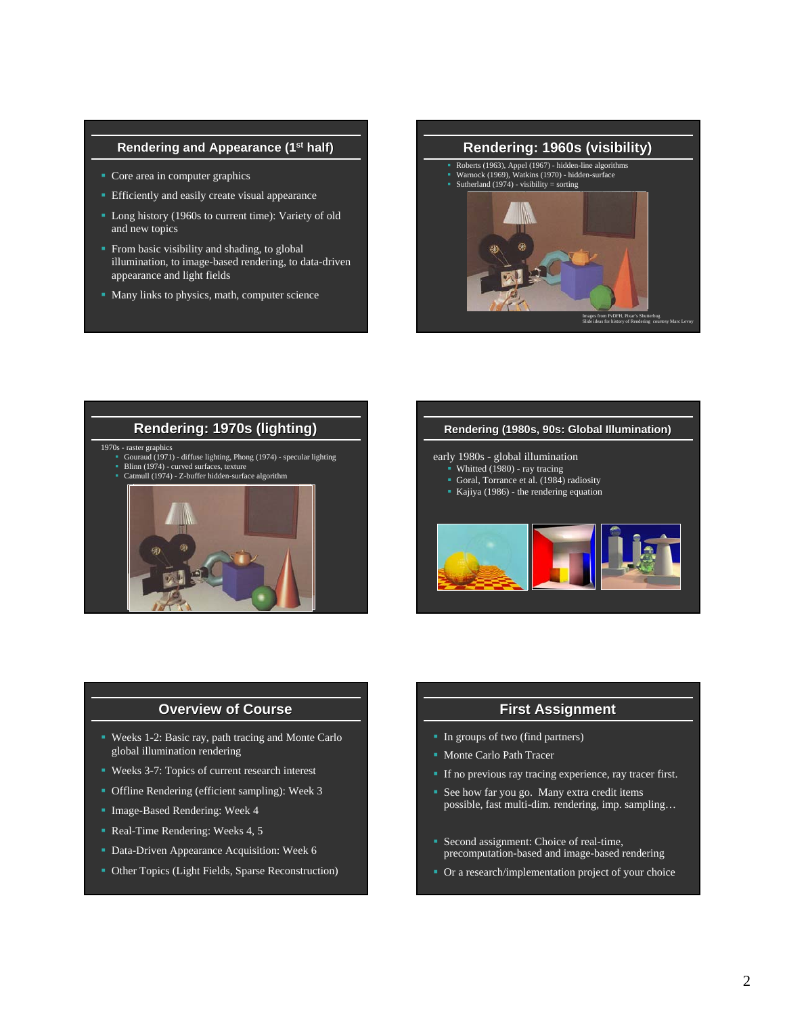### **Rendering and Appearance (1st half)**

- Core area in computer graphics
- **Efficiently and easily create visual appearance**
- **Long history (1960s to current time): Variety of old** and new topics
- **From basic visibility and shading, to global** illumination, to image-based rendering, to data-driven appearance and light fields
- Many links to physics, math, computer science





#### early 1980s - global illumination

- Whitted (1980) ray tracing
- Goral, Torrance et al. (1984) radiosity
- Kajiya (1986) the rendering equation



## **Overview of Course**

- Weeks 1-2: Basic ray, path tracing and Monte Carlo global illumination rendering
- Weeks 3-7: Topics of current research interest
- Offline Rendering (efficient sampling): Week 3
- **Image-Based Rendering: Week 4**
- Real-Time Rendering: Weeks 4, 5
- **Data-Driven Appearance Acquisition: Week 6**
- Other Topics (Light Fields, Sparse Reconstruction)

## **First Assignment First Assignment**

- In groups of two (find partners)
- **Monte Carlo Path Tracer**
- If no previous ray tracing experience, ray tracer first.
- See how far you go. Many extra credit items possible, fast multi-dim. rendering, imp. sampling…
- Second assignment: Choice of real-time, precomputation-based and image-based rendering
- Or a research/implementation project of your choice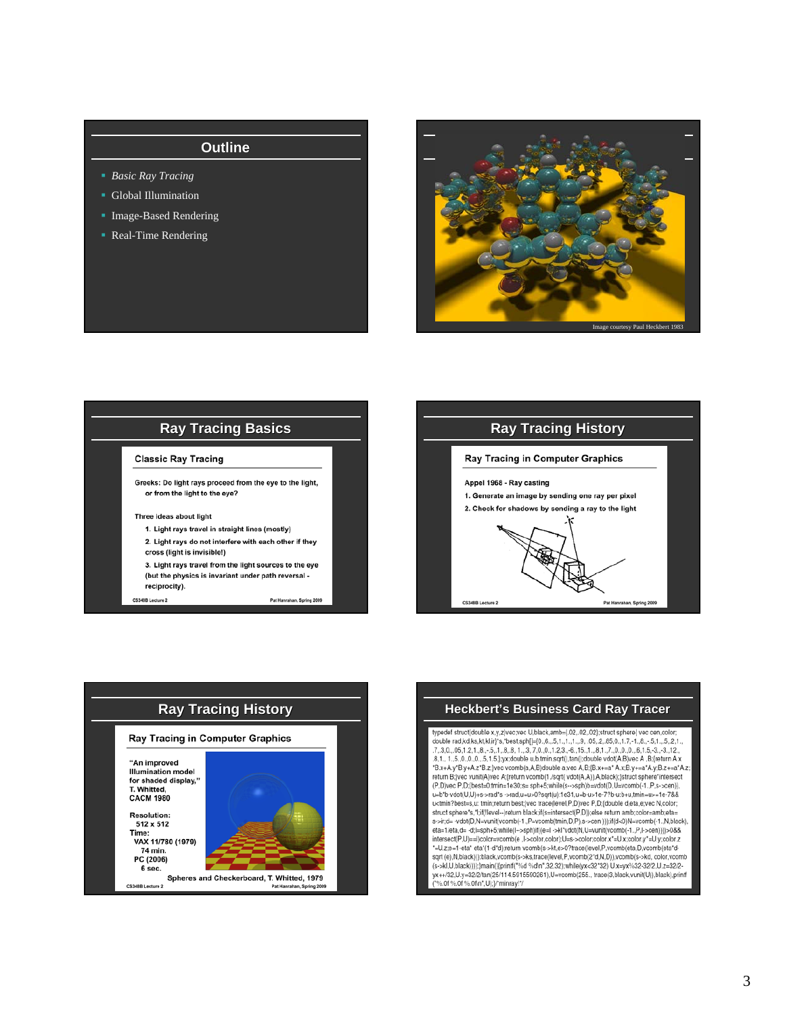- *Basic Ray Tracing*
- Global Illumination
- **Image-Based Rendering**
- Real-Time Rendering









typedef struct{double x,y,z}vec;vec U,black,amb={.02,.02,.02};struct sphere{ vec cen,color; double rad, kd, ks, kt, kl, jr)\*s, \*best, sph[]=[0,, 6,. 5, 1, 1, 1, 1, 9, 05, 2, 85, 0, 1, 7, -1, 8, .-5, 1, 5, 2, 1,<br>7, 3, 0, 05, 1, 2, 1, 8, .-5, 1, 2, .-5, 1, 8, 8, 1, ..3, 7, 0, 0, 1, 2, 3, -6, 15, 1, ..., 8, .0, 1, 7 .8,1., 1.,5.,0.,0.,0.,5,1.5,};yx;double u,b,tmin.sqrt(),tan();double vdot(A,B)vec A ,B;[return A.x "B.x+A.y"B.y+A.z"B.z;jvec vcomb(a,A,B)double a;vec A,B;{B.x+=a" A.x;B.y+=a"A.y;B.z+=a"A.z;<br>return B;jvec vunit(A)vec A;{return vcomb(1./sqrt( vdot(A,A)),A,black);}struct sphere"intersect (P,D)vec P,D;{best=0;tmin=1e30;s= sph+5;while(s-->sph)b=vdot(D,U=vcomb(-1.,P,s->cen) u=b\*b-vdot(U,U)+s->rad\*s ->rad,u=u>0?sqrt(u):1e31,u=b-u>1e-7?b-u:b+u,tmin=u>=1e-7&&<br>u<tmin?best=s,u: tmin;return best;}vec trace(level,P,D)vec P,D;(double d,eta,e;vec N,color; struct sphere's,'l;if(!level--)return black;if(s=intersect(P,D));else return amb;color=amb;eta= s->ir;d= -vdot(D,N=vunit(vcomb(-1,,P=vcomb(tmin,D,P),s->cen)));if(d-0)N=vcomb(-1,,N,black),<br>eta=1/eta,d= -d;l=sph+5;while(l-->sph)if((e=l ->kl'vdot(N,U=vunit(vcomb(-1,,P,l->cen))))>0&& intersect(P,U)==l)color=vcomb(e ,I->color,color);U=s->color,color.x'=U.x;color.y'=U.y;color.z<br>"=U.z;e=1-eta" eta"(1-d'd);return vcomb(s->kt,e>0?trace(level,P,vcomb(eta,D,vcomb(eta"dsqrt (e),N,black))):black,vcomb(s->ks,trace(level,P,vcomb(2'd,N,D)),vcomb(s->kd, color,vcomb sqrt (er,www.awr),yuatoming-somalistic (er,www.awr),somalistic (er,www.awr),somalistic (er-skl,U,black))));}main(){printf("%d"%dh",32,32);\mille(yx<32'32) Ux=yx%32-32/2, Uz=32/2-<br>yx++/32,U.y=32/2/tan(25/114.5915590261),U %.0f %.0f %.0f\n",U);}/\*minray!\*/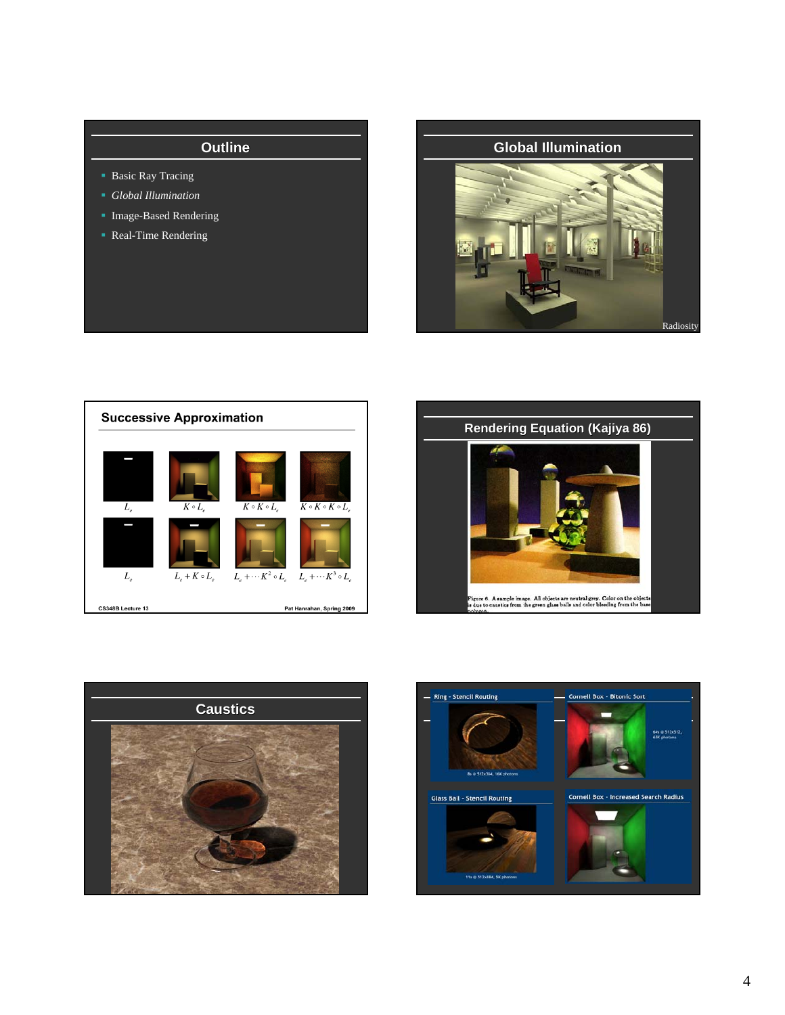- **Basic Ray Tracing**
- *Global Illumination*
- Image-Based Rendering
- Real-Time Rendering









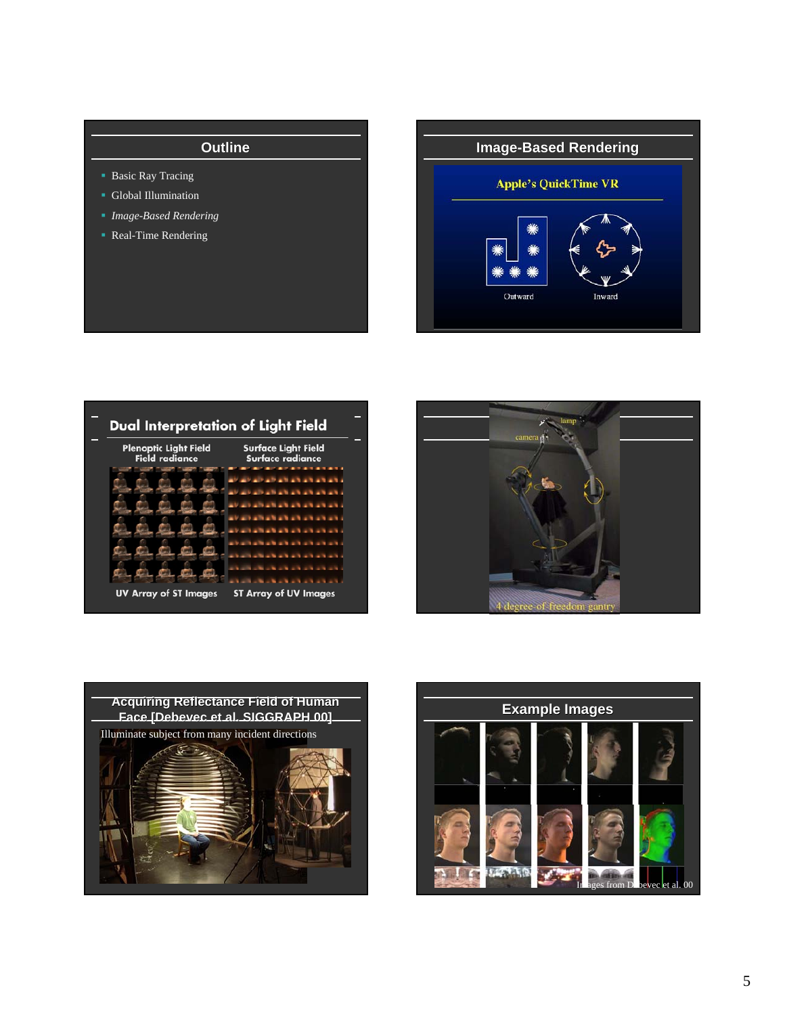- **Basic Ray Tracing**
- **Global Illumination**
- *Image-Based Rendering*
- Real-Time Rendering

**Image-Based Rendering Apple's QuickTime VR** Outward Inward